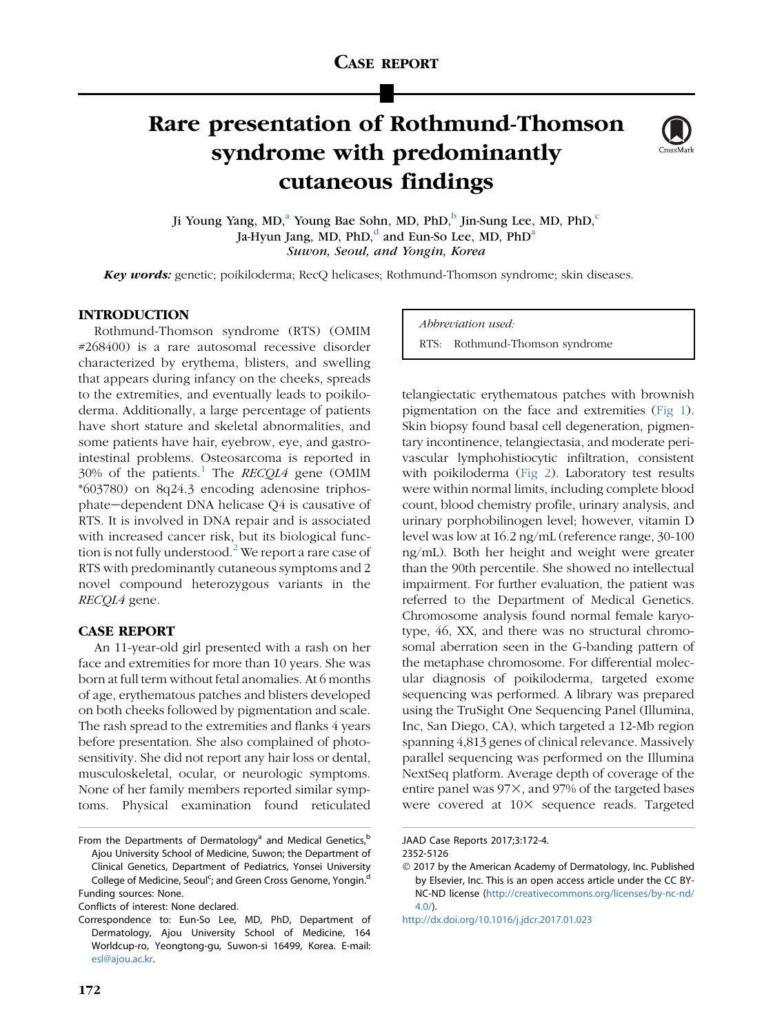# Rare presentation of Rothmund-Thomson syndrome with predominantly cutaneous findings



Ji Young Yang, MD,<sup>a</sup> Young Bae Sohn, MD, PhD,<sup>b</sup> Jin-Sung Lee, MD, PhD,<sup>c</sup> Ja-Hyun Jang, MD, PhD,<sup>d</sup> and Eun-So Lee, MD, PhD<sup>a</sup> Suwon, Seoul, and Yongin, Korea

Key words: genetic; poikiloderma; RecQ helicases; Rothmund-Thomson syndrome; skin diseases.

# INTRODUCTION

Rothmund-Thomson syndrome (RTS) (OMIM #268400) is a rare autosomal recessive disorder characterized by erythema, blisters, and swelling that appears during infancy on the cheeks, spreads to the extremities, and eventually leads to poikiloderma. Additionally, a large percentage of patients have short stature and skeletal abnormalities, and some patients have hair, eyebrow, eye, and gastrointestinal problems. Osteosarcoma is reported in 30% of the patients.<sup>[1](#page-2-0)</sup> The *RECQL4* gene (OMIM \*603780) on 8q24.3 encoding adenosine triphosphate-dependent DNA helicase Q4 is causative of RTS. It is involved in DNA repair and is associated with increased cancer risk, but its biological func-tion is not fully understood.<sup>[2](#page-2-0)</sup> We report a rare case of RTS with predominantly cutaneous symptoms and 2 novel compound heterozygous variants in the RECQL4 gene.

## CASE REPORT

An 11-year-old girl presented with a rash on her face and extremities for more than 10 years. She was born at full term without fetal anomalies. At 6 months of age, erythematous patches and blisters developed on both cheeks followed by pigmentation and scale. The rash spread to the extremities and flanks 4 years before presentation. She also complained of photosensitivity. She did not report any hair loss or dental, musculoskeletal, ocular, or neurologic symptoms. None of her family members reported similar symptoms. Physical examination found reticulated

Conflicts of interest: None declared.

Abbreviation used: RTS: Rothmund-Thomson syndrome

telangiectatic erythematous patches with brownish pigmentation on the face and extremities ([Fig 1](#page-1-0)). Skin biopsy found basal cell degeneration, pigmentary incontinence, telangiectasia, and moderate perivascular lymphohistiocytic infiltration, consistent with poikiloderma [\(Fig 2\)](#page-1-0). Laboratory test results were within normal limits, including complete blood count, blood chemistry profile, urinary analysis, and urinary porphobilinogen level; however, vitamin D level was low at 16.2 ng/mL (reference range, 30-100 ng/mL). Both her height and weight were greater than the 90th percentile. She showed no intellectual impairment. For further evaluation, the patient was referred to the Department of Medical Genetics. Chromosome analysis found normal female karyotype, 46, XX, and there was no structural chromosomal aberration seen in the G-banding pattern of the metaphase chromosome. For differential molecular diagnosis of poikiloderma, targeted exome sequencing was performed. A library was prepared using the TruSight One Sequencing Panel (Illumina, Inc, San Diego, CA), which targeted a 12-Mb region spanning 4,813 genes of clinical relevance. Massively parallel sequencing was performed on the Illumina NextSeq platform. Average depth of coverage of the entire panel was  $97\times$ , and  $97\%$  of the targeted bases were covered at 10X sequence reads. Targeted

From the Departments of Dermatology<sup>a</sup> and Medical Genetics, $<sup>b</sup>$ </sup> Ajou University School of Medicine, Suwon; the Department of Clinical Genetics, Department of Pediatrics, Yonsei University College of Medicine, Seoul<sup>c</sup>; and Green Cross Genome, Yongin.<sup>d</sup> Funding sources: None.

Correspondence to: Eun-So Lee, MD, PhD, Department of Dermatology, Ajou University School of Medicine, 164 Worldcup-ro, Yeongtong-gu, Suwon-si 16499, Korea. E-mail: [esl@ajou.ac.kr.](mailto:esl@ajou.ac.kr)

JAAD Case Reports 2017;3:172-4.

<sup>2352-5126</sup>

2017 by the American Academy of Dermatology, Inc. Published by Elsevier, Inc. This is an open access article under the CC BY-NC-ND license [\(http://creativecommons.org/licenses/by-nc-nd/](http://creativecommons.org/licenses/by-nc-nd/4.0/)  $4.0<sub>0</sub>$ 

<http://dx.doi.org/10.1016/j.jdcr.2017.01.023>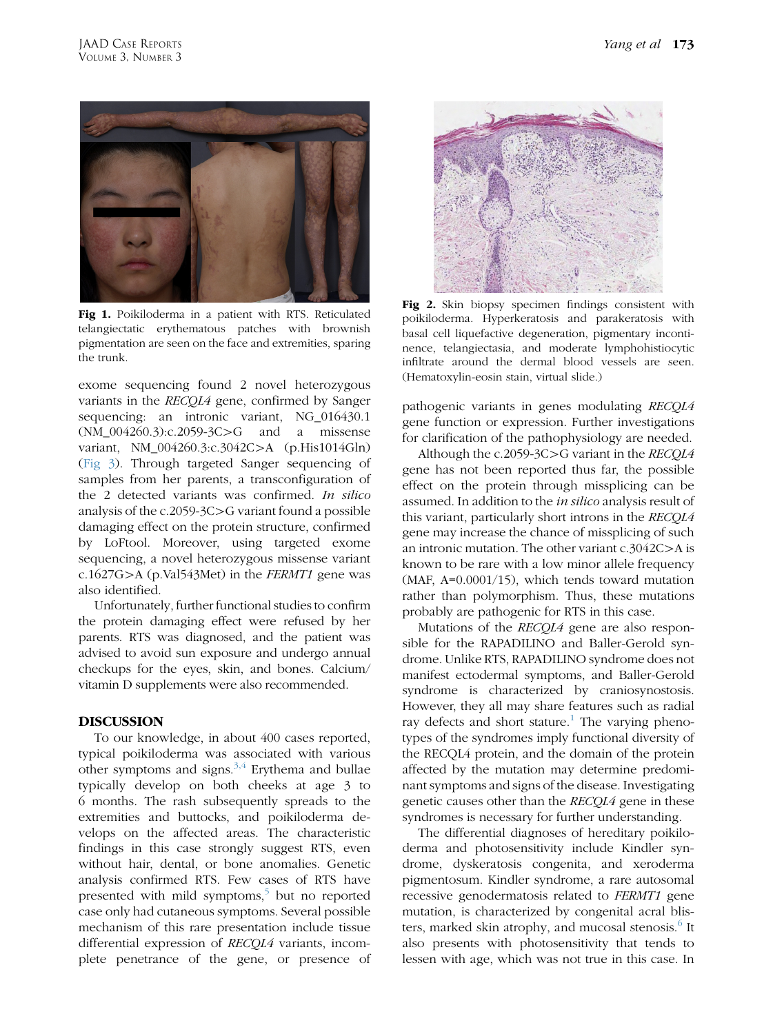<span id="page-1-0"></span>

Fig 1. Poikiloderma in a patient with RTS. Reticulated telangiectatic erythematous patches with brownish pigmentation are seen on the face and extremities, sparing the trunk.

exome sequencing found 2 novel heterozygous variants in the RECQL4 gene, confirmed by Sanger sequencing: an intronic variant, NG\_016430.1  $(NM_004260.3):c.2059-3C>G$  and a missense variant, NM\_004260.3:c.3042C>A (p.His1014Gln) [\(Fig 3\)](#page-2-0). Through targeted Sanger sequencing of samples from her parents, a transconfiguration of the 2 detected variants was confirmed. In silico analysis of the c.2059-3C $>$ G variant found a possible damaging effect on the protein structure, confirmed by LoFtool. Moreover, using targeted exome sequencing, a novel heterozygous missense variant c.1627G $>$ A (p.Val543Met) in the FERMT1 gene was also identified.

Unfortunately, further functional studies to confirm the protein damaging effect were refused by her parents. RTS was diagnosed, and the patient was advised to avoid sun exposure and undergo annual checkups for the eyes, skin, and bones. Calcium/ vitamin D supplements were also recommended.

# DISCUSSION

To our knowledge, in about 400 cases reported, typical poikiloderma was associated with various other symptoms and signs. $3,4$  Erythema and bullae typically develop on both cheeks at age 3 to 6 months. The rash subsequently spreads to the extremities and buttocks, and poikiloderma develops on the affected areas. The characteristic findings in this case strongly suggest RTS, even without hair, dental, or bone anomalies. Genetic analysis confirmed RTS. Few cases of RTS have presented with mild symptoms,<sup>[5](#page-2-0)</sup> but no reported case only had cutaneous symptoms. Several possible mechanism of this rare presentation include tissue differential expression of RECQL4 variants, incomplete penetrance of the gene, or presence of



Fig 2. Skin biopsy specimen findings consistent with poikiloderma. Hyperkeratosis and parakeratosis with basal cell liquefactive degeneration, pigmentary incontinence, telangiectasia, and moderate lymphohistiocytic infiltrate around the dermal blood vessels are seen. (Hematoxylin-eosin stain, virtual slide.)

pathogenic variants in genes modulating RECQL4 gene function or expression. Further investigations for clarification of the pathophysiology are needed.

Although the c.2059-3C $>$ G variant in the RECQL4 gene has not been reported thus far, the possible effect on the protein through missplicing can be assumed. In addition to the in silico analysis result of this variant, particularly short introns in the RECQL4 gene may increase the chance of missplicing of such an intronic mutation. The other variant  $c.3042C$  $> A$  is known to be rare with a low minor allele frequency (MAF, A=0.0001/15), which tends toward mutation rather than polymorphism. Thus, these mutations probably are pathogenic for RTS in this case.

Mutations of the RECQL4 gene are also responsible for the RAPADILINO and Baller-Gerold syndrome. Unlike RTS, RAPADILINO syndrome does not manifest ectodermal symptoms, and Baller-Gerold syndrome is characterized by craniosynostosis. However, they all may share features such as radial ray defects and short stature.<sup>1</sup> The varying phenotypes of the syndromes imply functional diversity of the RECQL4 protein, and the domain of the protein affected by the mutation may determine predominant symptoms and signs of the disease. Investigating genetic causes other than the RECQL4 gene in these syndromes is necessary for further understanding.

The differential diagnoses of hereditary poikiloderma and photosensitivity include Kindler syndrome, dyskeratosis congenita, and xeroderma pigmentosum. Kindler syndrome, a rare autosomal recessive genodermatosis related to FERMT1 gene mutation, is characterized by congenital acral blis-ters, marked skin atrophy, and mucosal stenosis.<sup>[6](#page-2-0)</sup> It also presents with photosensitivity that tends to lessen with age, which was not true in this case. In